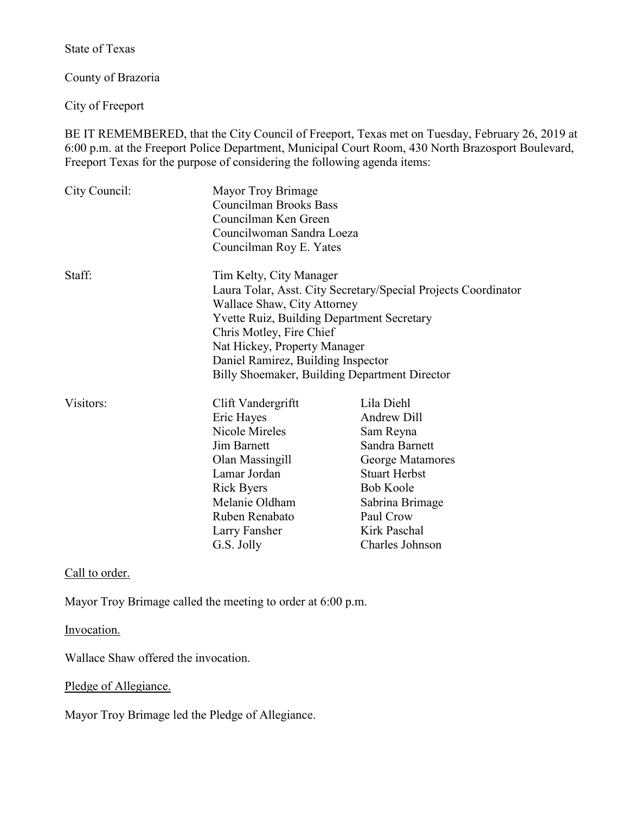State of Texas

County of Brazoria

City of Freeport

BE IT REMEMBERED, that the City Council of Freeport, Texas met on Tuesday, February 26, 2019 at 6:00 p.m. at the Freeport Police Department, Municipal Court Room, 430 North Brazosport Boulevard, Freeport Texas for the purpose of considering the following agenda items:

| City Council: | Mayor Troy Brimage<br><b>Councilman Brooks Bass</b><br>Councilman Ken Green<br>Councilwoman Sandra Loeza<br>Councilman Roy E. Yates                                                                                                                                                                                              |                                                                                                                                                                                                    |
|---------------|----------------------------------------------------------------------------------------------------------------------------------------------------------------------------------------------------------------------------------------------------------------------------------------------------------------------------------|----------------------------------------------------------------------------------------------------------------------------------------------------------------------------------------------------|
| Staff:        | Tim Kelty, City Manager<br>Laura Tolar, Asst. City Secretary/Special Projects Coordinator<br>Wallace Shaw, City Attorney<br><b>Yvette Ruiz, Building Department Secretary</b><br>Chris Motley, Fire Chief<br>Nat Hickey, Property Manager<br>Daniel Ramirez, Building Inspector<br>Billy Shoemaker, Building Department Director |                                                                                                                                                                                                    |
| Visitors:     | Clift Vandergriftt<br>Eric Hayes<br>Nicole Mireles<br><b>Jim Barnett</b><br>Olan Massingill<br>Lamar Jordan<br><b>Rick Byers</b><br>Melanie Oldham<br>Ruben Renabato<br>Larry Fansher<br>G.S. Jolly                                                                                                                              | Lila Diehl<br><b>Andrew Dill</b><br>Sam Reyna<br>Sandra Barnett<br>George Matamores<br><b>Stuart Herbst</b><br><b>Bob Koole</b><br>Sabrina Brimage<br>Paul Crow<br>Kirk Paschal<br>Charles Johnson |

Call to order.

Mayor Troy Brimage called the meeting to order at 6:00 p.m.

Invocation.

Wallace Shaw offered the invocation.

Pledge of Allegiance.

Mayor Troy Brimage led the Pledge of Allegiance.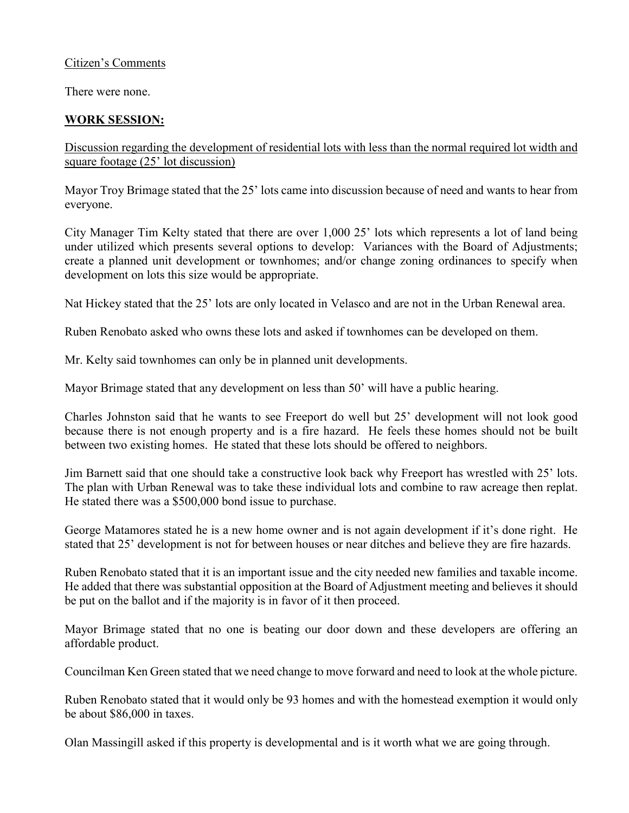## Citizen's Comments

There were none.

## **WORK SESSION:**

Discussion regarding the development of residential lots with less than the normal required lot width and square footage (25' lot discussion)

Mayor Troy Brimage stated that the 25' lots came into discussion because of need and wants to hear from everyone.

City Manager Tim Kelty stated that there are over 1,000 25' lots which represents a lot of land being under utilized which presents several options to develop: Variances with the Board of Adjustments; create a planned unit development or townhomes; and/or change zoning ordinances to specify when development on lots this size would be appropriate.

Nat Hickey stated that the 25' lots are only located in Velasco and are not in the Urban Renewal area.

Ruben Renobato asked who owns these lots and asked if townhomes can be developed on them.

Mr. Kelty said townhomes can only be in planned unit developments.

Mayor Brimage stated that any development on less than 50' will have a public hearing.

Charles Johnston said that he wants to see Freeport do well but 25' development will not look good because there is not enough property and is a fire hazard. He feels these homes should not be built between two existing homes. He stated that these lots should be offered to neighbors.

Jim Barnett said that one should take a constructive look back why Freeport has wrestled with 25' lots. The plan with Urban Renewal was to take these individual lots and combine to raw acreage then replat. He stated there was a \$500,000 bond issue to purchase.

George Matamores stated he is a new home owner and is not again development if it's done right. He stated that 25' development is not for between houses or near ditches and believe they are fire hazards.

Ruben Renobato stated that it is an important issue and the city needed new families and taxable income. He added that there was substantial opposition at the Board of Adjustment meeting and believes it should be put on the ballot and if the majority is in favor of it then proceed.

Mayor Brimage stated that no one is beating our door down and these developers are offering an affordable product.

Councilman Ken Green stated that we need change to move forward and need to look at the whole picture.

Ruben Renobato stated that it would only be 93 homes and with the homestead exemption it would only be about \$86,000 in taxes.

Olan Massingill asked if this property is developmental and is it worth what we are going through.